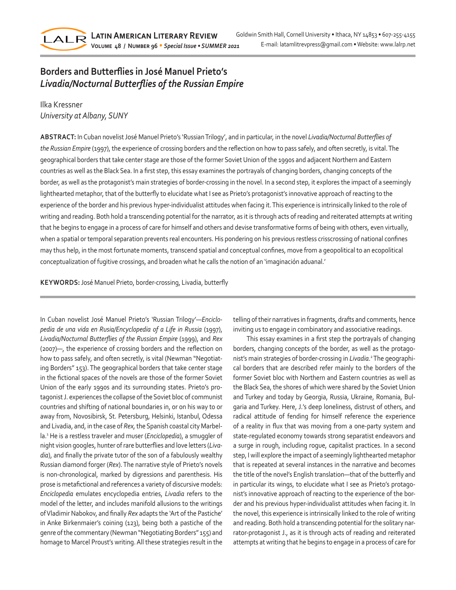

## **Borders and Butterflies in José Manuel Prieto's** *Livadia/Nocturnal Butterflies of the Russian Empire*

Ilka Kressner *University at Albany, SUNY*

**ABSTRACT:** In Cuban novelist José Manuel Prieto's 'Russian Trilogy', and in particular, in the novel *Livadia/Nocturnal Butterflies of the Russian Empire* (1997), the experience of crossing borders and the reflection on how to pass safely, and often secretly, is vital. The geographical borders that take center stage are those of the former Soviet Union of the 1990s and adjacent Northern and Eastern countries as well as the Black Sea. In a first step, this essay examines the portrayals of changing borders, changing concepts of the border, as well as the protagonist's main strategies of border-crossing in the novel. In a second step, it explores the impact of a seemingly lighthearted metaphor, that of the butterfly to elucidate what I see as Prieto's protagonist's innovative approach of reacting to the experience of the border and his previous hyper-individualist attitudes when facing it. This experience is intrinsically linked to the role of writing and reading. Both hold a transcending potential for the narrator, as it is through acts of reading and reiterated attempts at writing that he begins to engage in a process of care for himself and others and devise transformative forms of being with others, even virtually, when a spatial or temporal separation prevents real encounters. His pondering on his previous restless crisscrossing of national confines may thus help, in the most fortunate moments, transcend spatial and conceptual confines, move from a geopolitical to an ecopolitical conceptualization of fugitive crossings, and broaden what he calls the notion of an 'imaginación aduanal.'

**KEYWORDS:** José Manuel Prieto, border-crossing, Livadia, butterfly

In Cuban novelist José Manuel Prieto's 'Russian Trilogy'—*Enciclopedia de una vida en Rusia/Encyclopedia of a Life in Russia* (1997), *Livadia/Nocturnal Butterflies of the Russian Empire* (1999), and *Rex* (2007)—, the experience of crossing borders and the reflection on how to pass safely, and often secretly, is vital (Newman "Negotiating Borders" 153). The geographical borders that take center stage in the fictional spaces of the novels are those of the former Soviet Union of the early 1990s and its surrounding states. Prieto's protagonist J. experiences the collapse of the Soviet bloc of communist countries and shifting of national boundaries in, or on his way to or away from, Novosibirsk, St. Petersburg, Helsinki, Istanbul, Odessa and Livadia, and, in the case of *Rex,* the Spanish coastal city Marbella.<sup>2</sup> He is a restless traveler and muser (*Enciclopedia*), a smuggler of night vision googles, hunter of rare butterflies and love letters (*Livadia*), and finally the private tutor of the son of a fabulously wealthy Russian diamond forger (*Rex*). The narrative style of Prieto's novels is non-chronological, marked by digressions and parenthesis. His prose is metafictional and references a variety of discursive models: *Enciclopedia* emulates encyclopedia entries, *Livadia* refers to the model of the letter, and includes manifold allusions to the writings of Vladimir Nabokov, and finally *Rex* adapts the 'Art of the Pastiche' in Anke Birkenmaier's coining (123), being both a pastiche of the genre of the commentary (Newman "Negotiating Borders" 155) and homage to Marcel Proust's writing. All these strategies result in the telling of their narratives in fragments, drafts and comments, hence inviting us to engage in combinatory and associative readings.

This essay examines in a first step the portrayals of changing borders, changing concepts of the border, as well as the protagonist's main strategies of border-crossing in *Livadia*. 2 The geographical borders that are described refer mainly to the borders of the former Soviet bloc with Northern and Eastern countries as well as the Black Sea, the shores of which were shared by the Soviet Union and Turkey and today by Georgia, Russia, Ukraine, Romania, Bulgaria and Turkey. Here, J.'s deep loneliness, distrust of others, and radical attitude of fending for himself reference the experience of a reality in flux that was moving from a one-party system and state-regulated economy towards strong separatist endeavors and a surge in rough, including rogue, capitalist practices. In a second step, I will explore the impact of a seemingly lighthearted metaphor that is repeated at several instances in the narrative and becomes the title of the novel's English translation—that of the butterfly and in particular its wings, to elucidate what I see as Prieto's protagonist's innovative approach of reacting to the experience of the border and his previous hyper-individualist attitudes when facing it. In the novel, this experience is intrinsically linked to the role of writing and reading. Both hold a transcending potential for the solitary narrator-protagonist J., as it is through acts of reading and reiterated attempts at writing that he begins to engage in a process of care for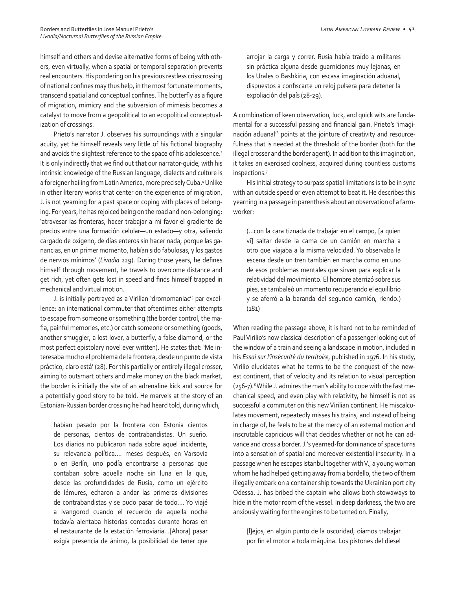himself and others and devise alternative forms of being with others, even virtually, when a spatial or temporal separation prevents real encounters. His pondering on his previous restless crisscrossing of national confines may thus help, in the most fortunate moments, transcend spatial and conceptual confines. The butterfly as a figure of migration, mimicry and the subversion of mimesis becomes a catalyst to move from a geopolitical to an ecopolitical conceptualization of crossings.

Prieto's narrator J. observes his surroundings with a singular acuity, yet he himself reveals very little of his fictional biography and avoids the slightest reference to the space of his adolescence.3 It is only indirectly that we find out that our narrator-guide, with his intrinsic knowledge of the Russian language, dialects and culture is a foreigner hailing from Latin America, more precisely Cuba.4 Unlike in other literary works that center on the experience of migration, J. is not yearning for a past space or coping with places of belonging. For years, he has rejoiced being on the road and non-belonging: 'atravesar las fronteras, hacer trabajar a mi favor el gradiente de precios entre una formación celular—un estado—y otra, saliendo cargado de oxígeno, de días enteros sin hacer nada, porque las ganancias, en un primer momento, habían sido fabulosas, y los gastos de nervios mínimos' (*Livadia* 229). During those years, he defines himself through movement, he travels to overcome distance and get rich, yet often gets lost in speed and finds himself trapped in mechanical and virtual motion.

J. is initially portrayed as a Virilian 'dromomaniac'5 par excellence: an international commuter that oftentimes either attempts to escape from someone or something (the border control, the mafia, painful memories, etc.) or catch someone or something (goods, another smuggler, a lost lover, a butterfly, a false diamond, or the most perfect epistolary novel ever written). He states that: 'Me interesaba mucho el problema de la frontera, desde un punto de vista práctico, claro está' (28). For this partially or entirely illegal crosser, aiming to outsmart others and make money on the black market, the border is initially the site of an adrenaline kick and source for a potentially good story to be told. He marvels at the story of an Estonian-Russian border crossing he had heard told, during which,

habían pasado por la frontera con Estonia cientos de personas, cientos de contrabandistas. Un sueño. Los diarios no publicaron nada sobre aquel incidente, su relevancia política…. meses después, en Varsovia o en Berlín, uno podía encontrarse a personas que contaban sobre aquella noche sin luna en la que, desde las profundidades de Rusia, como un ejército de lémures, echaron a andar las primeras divisiones de contrabandistas y se pudo pasar de todo…. Yo viajé a Ivangorod cuando el recuerdo de aquella noche todavía alentaba historias contadas durante horas en el restaurante de la estación ferroviaria…[Ahora] pasar exigía presencia de ánimo, la posibilidad de tener que

arrojar la carga y correr. Rusia había traído a militares sin práctica alguna desde guarniciones muy lejanas, en los Urales o Bashkiria, con escasa imaginación aduanal, dispuestos a confiscarte un reloj pulsera para detener la expoliación del país (28-29).

A combination of keen observation, luck, and quick wits are fundamental for a successful passing and financial gain. Prieto's 'imaginación aduanal<sup>16</sup> points at the jointure of creativity and resourcefulness that is needed at the threshold of the border (both for the illegal crosser and the border agent). In addition to this imagination, it takes an exercised coolness, acquired during countless customs inspections.7

His initial strategy to surpass spatial limitations is to be in sync with an outside speed or even attempt to beat it. He describes this yearning in a passage in parenthesis about an observation of a farmworker:

(…con la cara tiznada de trabajar en el campo, [a quien vi] saltar desde la cama de un camión en marcha a otro que viajaba a la misma velocidad. Yo observaba la escena desde un tren también en marcha como en uno de esos problemas mentales que sirven para explicar la relatividad del movimiento. El hombre aterrizó sobre sus pies, se tambaleó un momento recuperando el equilibrio y se aferró a la baranda del segundo camión, riendo.) (181)

When reading the passage above, it is hard not to be reminded of Paul Virilio's now classical description of a passenger looking out of the window of a train and seeing a landscape in motion, included in his *Essai sur l'insécurité du territoire*, published in 1976. In his study, Virilio elucidates what he terms to be the conquest of the newest continent, that of velocity and its relation to visual perception (256-7).<sup>8</sup> While J. admires the man's ability to cope with the fast mechanical speed, and even play with relativity, he himself is not as successful a commuter on this new Virilian continent. He miscalculates movement, repeatedly misses his trains, and instead of being in charge of, he feels to be at the mercy of an external motion and inscrutable capricious will that decides whether or not he can advance and cross a border. J.'s yearned-for dominance of space turns into a sensation of spatial and moreover existential insecurity. In a passage when he escapes Istanbul together with V., a young woman whom he had helped getting away from a bordello, the two of them illegally embark on a container ship towards the Ukrainian port city Odessa. J. has bribed the captain who allows both stowaways to hide in the motor room of the vessel. In deep darkness, the two are anxiously waiting for the engines to be turned on. Finally,

[l]ejos, en algún punto de la oscuridad, oíamos trabajar por fin el motor a toda máquina. Los pistones del diesel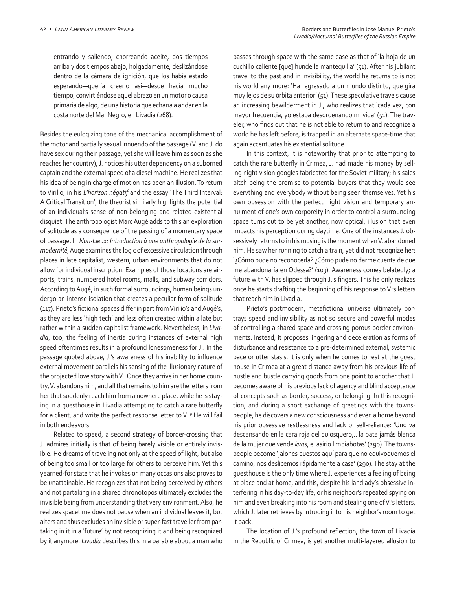entrando y saliendo, chorreando aceite, dos tiempos arriba y dos tiempos abajo, holgadamente, deslizándose dentro de la cámara de ignición, que los había estado esperando—quería creerlo así—desde hacía mucho tiempo, convirtiéndose aquel abrazo en un motor o causa primaria de algo, de una historia que echaría a andar en la costa norte del Mar Negro, en Livadia (268).

Besides the eulogizing tone of the mechanical accomplishment of the motor and partially sexual innuendo of the passage (V. and J. do have sex during their passage, yet she will leave him as soon as she reaches her country), J. notices his utter dependency on a suborned captain and the external speed of a diesel machine. He realizes that his idea of being in charge of motion has been an illusion. To return to Virilio, in his *L'horizon négatif* and the essay 'The Third Interval: A Critical Transition', the theorist similarly highlights the potential of an individual's sense of non-belonging and related existential disquiet. The anthropologist Marc Augé adds to this an exploration of solitude as a consequence of the passing of a momentary space of passage. In *Non-Lieux: Introduction à une anthropologie de la surmodernité*, Augé examines the logic of excessive circulation through places in late capitalist, western, urban environments that do not allow for individual inscription. Examples of those locations are airports, trains, numbered hotel rooms, malls, and subway corridors. According to Augé, in such formal surroundings, human beings undergo an intense isolation that creates a peculiar form of solitude (117). Prieto's fictional spaces differ in part from Virilio's and Augé's, as they are less 'high tech' and less often created within a late but rather within a sudden capitalist framework. Nevertheless, in *Livadia*, too, the feeling of inertia during instances of external high speed oftentimes results in a profound lonesomeness for J.. In the passage quoted above, J.'s awareness of his inability to influence external movement parallels his sensing of the illusionary nature of the projected love story with V.. Once they arrive in her home country, V. abandons him, and all that remains to him are the letters from her that suddenly reach him from a nowhere place, while he is staying in a guesthouse in Livadia attempting to catch a rare butterfly for a client, and write the perfect response letter to V..9 He will fail in both endeavors.

Related to speed, a second strategy of border-crossing that J. admires initially is that of being barely visible or entirely invisible. He dreams of traveling not only at the speed of light, but also of being too small or too large for others to perceive him. Yet this yearned-for state that he invokes on many occasions also proves to be unattainable. He recognizes that not being perceived by others and not partaking in a shared chronotopos ultimately excludes the invisible being from understanding that very environment. Also, he realizes spacetime does not pause when an individual leaves it, but alters and thus excludes an invisible or super-fast traveller from partaking in it in a 'future' by not recognizing it and being recognized by it anymore. *Livadia* describes this in a parable about a man who passes through space with the same ease as that of 'la hoja de un cuchillo caliente [que] hunde la mantequilla' (51). After his jubilant travel to the past and in invisibility, the world he returns to is not his world any more: 'Ha regresado a un mundo distinto, que gira muy lejos de su órbita anterior' (51). These speculative travels cause an increasing bewilderment in J., who realizes that 'cada vez, con mayor frecuencia, yo estaba desordenando mi vida' (51). The traveler, who finds out that he is not able to return to and recognize a world he has left before, is trapped in an alternate space-time that again accentuates his existential solitude.

In this context, it is noteworthy that prior to attempting to catch the rare butterfly in Crimea, J. had made his money by selling night vision googles fabricated for the Soviet military; his sales pitch being the promise to potential buyers that they would see everything and everybody without being seen themselves. Yet his own obsession with the perfect night vision and temporary annulment of one's own corporeity in order to control a surrounding space turns out to be yet another, now optical, illusion that even impacts his perception during daytime. One of the instances J. obsessively returns to in his musing is the moment when V. abandoned him. He saw her running to catch a train, yet did not recognize her: '¿Cómo pude no reconocerla? ¿Cómo pude no darme cuenta de que me abandonaría en Odessa?' (103). Awareness comes belatedly; a future with V. has slipped through J.'s fingers. This he only realizes once he starts drafting the beginning of his response to V.'s letters that reach him in Livadia.

Prieto's postmodern, metafictional universe ultimately portrays speed and invisibility as not so secure and powerful modes of controlling a shared space and crossing porous border environments. Instead, it proposes lingering and deceleration as forms of disturbance and resistance to a pre-determined external, systemic pace or utter stasis. It is only when he comes to rest at the guest house in Crimea at a great distance away from his previous life of hustle and bustle carrying goods from one point to another that J. becomes aware of his previous lack of agency and blind acceptance of concepts such as border, success, or belonging. In this recognition, and during a short exchange of greetings with the townspeople, he discovers a new consciousness and even a home beyond his prior obsessive restlessness and lack of self-reliance: 'Uno va descansando en la cara roja del quiosquero,.. la bata jamás blanca de la mujer que vende *kvas*, el asirio limpiabotas' (290). The townspeople become 'jalones puestos aquí para que no equivoquemos el camino, nos deslicemos rápidamente a casa' (290). The stay at the guesthouse is the only time where J. experiences a feeling of being at place and at home, and this, despite his landlady's obsessive interfering in his day-to-day life, or his neighbor's repeated spying on him and even breaking into his room and stealing one of V.'s letters, which J. later retrieves by intruding into his neighbor's room to get it back.

The location of J.'s profound reflection, the town of Livadia in the Republic of Crimea, is yet another multi-layered allusion to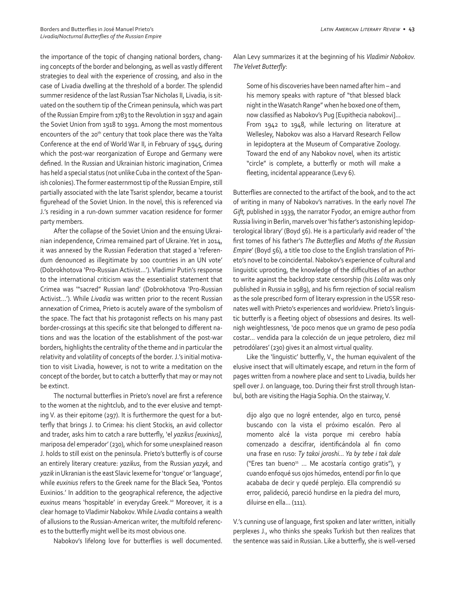the importance of the topic of changing national borders, changing concepts of the border and belonging, as well as vastly different strategies to deal with the experience of crossing, and also in the case of Livadia dwelling at the threshold of a border. The splendid summer residence of the last Russian Tsar Nicholas II, Livadia, is situated on the southern tip of the Crimean peninsula, which was part of the Russian Empire from 1783 to the Revolution in 1917 and again the Soviet Union from 1918 to 1991. Among the most momentous encounters of the 20<sup>th</sup> century that took place there was the Yalta Conference at the end of World War II, in February of 1945, during which the post-war reorganization of Europe and Germany were defined. In the Russian and Ukrainian historic imagination, Crimea has held a special status (not unlike Cuba in the context of the Spanish colonies). The former easternmost tip of the Russian Empire, still partially associated with the late Tsarist splendor, became a tourist figurehead of the Soviet Union. In the novel, this is referenced via J.'s residing in a run-down summer vacation residence for former party members.

After the collapse of the Soviet Union and the ensuing Ukrainian independence, Crimea remained part of Ukraine. Yet in 2014, it was annexed by the Russian Federation that staged a 'referendum denounced as illegitimate by 100 countries in an UN vote' (Dobrokhotova 'Pro-Russian Activist…'). Vladimir Putin's response to the international criticism was the essentialist statement that Crimea was '"sacred" Russian land' (Dobrokhotova 'Pro-Russian Activist...'). While *Livadia* was written prior to the recent Russian annexation of Crimea, Prieto is acutely aware of the symbolism of the space. The fact that his protagonist reflects on his many past border-crossings at this specific site that belonged to different nations and was the location of the establishment of the post-war borders, highlights the centrality of the theme and in particular the relativity and volatility of concepts of the border. J.'s initial motivation to visit Livadia, however, is not to write a meditation on the concept of the border, but to catch a butterfly that may or may not be extinct.

The nocturnal butterflies in Prieto's novel are first a reference to the women at the nightclub, and to the ever elusive and tempting V. as their epitome (297). It is furthermore the quest for a butterfly that brings J. to Crimea: his client Stockis, an avid collector and trader, asks him to catch a rare butterfly, 'el *yazikus [euxinius]*, mariposa del emperador' (230), which for some unexplained reason J. holds to still exist on the peninsula. Prieto's butterfly is of course an entirely literary creature: *yazikus*, from the Russian *yazyk*, and *yazik* in Ukranian is the east Slavic lexeme for 'tongue' or 'language', while *euxinius* refers to the Greek name for the Black Sea, 'Pontos Euxinios.' In addition to the geographical reference, the adjective *euxinus* means 'hospitable' in everyday Greek.10 Moreover, it is a clear homage to Vladimir Nabokov. While *Livadia* contains a wealth of allusions to the Russian-American writer, the multifold references to the butterfly might well be its most obvious one.

Nabokov's lifelong love for butterflies is well documented.

Alan Levy summarizes it at the beginning of his *Vladimir Nabokov. The Velvet Butterfly*:

Some of his discoveries have been named after him – and his memory speaks with rapture of "that blessed black night in the Wasatch Range" when he boxed one of them, now classified as Nabokov's Pug [Eupithecia nabokovi]… From 1942 to 1948, while lecturing on literature at Wellesley, Nabokov was also a Harvard Research Fellow in lepidoptera at the Museum of Comparative Zoology. Toward the end of any Nabokov novel, when its artistic "circle" is complete, a butterfly or moth will make a fleeting, incidental appearance (Levy 6).

Butterflies are connected to the artifact of the book, and to the act of writing in many of Nabokov's narratives. In the early novel *The Gift,* published in 1939, the narrator Fyodor, an emigre author from Russia living in Berlin, marvels over 'his father's astonishing lepidopterological library' (Boyd 56). He is a particularly avid reader of 'the first tomes of his father's *The Butterflies and Moths of the Russian Empire*' (Boyd 56), a title too close to the English translation of Prieto's novel to be coincidental. Nabokov's experience of cultural and linguistic uprooting, the knowledge of the difficulties of an author to write against the backdrop state censorship (his *Lolita* was only published in Russia in 1989), and his firm rejection of social realism as the sole prescribed form of literary expression in the USSR resonates well with Prieto's experiences and worldview. Prieto's linguistic butterfly is a fleeting object of obsessions and desires. Its wellnigh weightlessness, 'de poco menos que un gramo de peso podía costar… vendida para la colección de un jeque petrolero, diez mil petrodólares' (230) gives it an almost virtual quality.

Like the 'linguistic' butterfly, V., the human equivalent of the elusive insect that will ultimately escape, and return in the form of pages written from a nowhere place and sent to Livadia, builds her spell over J. on language, too. During their first stroll through Istanbul, both are visiting the Hagia Sophia. On the stairway, V.

dijo algo que no logré entender, algo en turco, pensé buscando con la vista el próximo escalón. Pero al momento alcé la vista porque mi cerebro había comenzado a descifrar, identificándola al fin como una frase en ruso: *Ty takoi joroshi… Ya by tebe i tak dale*  ("Eres tan bueno $11$  ... Me acostaría contigo gratis"), y cuando enfoqué sus ojos húmedos, entendí por fin lo que acababa de decir y quedé perplejo. Ella comprendió su error, palideció, pareció hundirse en la piedra del muro, diluirse en ella… (111).

V.'s cunning use of language, first spoken and later written, initially perplexes J., who thinks she speaks Turkish but then realizes that the sentence was said in Russian. Like a butterfly, she is well-versed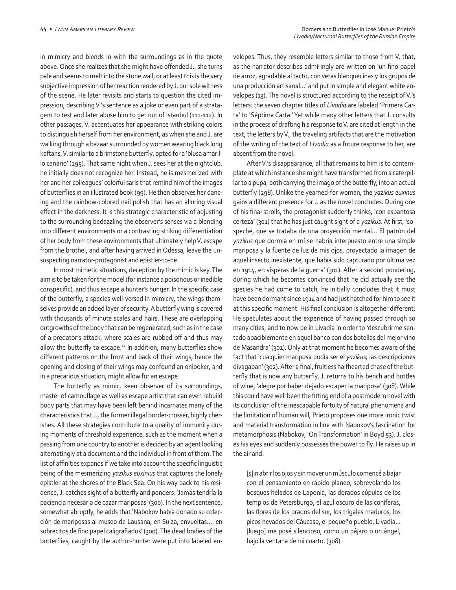in mimicry and blends in with the surroundings as in the quote above. Once she realizes that she might have offended J., she turns pale and seems to melt into the stone wall, or at least this is the very subjective impression of her reaction rendered by J. our sole witness of the scene. He later revisits and starts to question the cited impression, describing V.'s sentence as a joke or even part of a stratagem to test and later abuse him to get out of Istanbul (111-112). In other passages, V. accentuates her appearance with striking colors to distinguish herself from her environment, as when she and J. are walking through a bazaar surrounded by women wearing black long kaftans, V. similar to a brimstone butterfly, opted for a 'blusa amarillo canario' (295). That same night when J. sees her at the nightclub, he initially does not recognize her. Instead, he is mesmerized with her and her colleagues' colorful saris that remind him of the images of butterflies in an illustrated book (99). He then observes her dancing and the rainbow-colored nail polish that has an alluring visual effect in the darkness. It is this strategic characteristic of adjusting to the surrounding bedazzling the observer's senses via a blending into different environments or a contrasting striking differentiation of her body from these environments that ultimately help V. escape from the brothel, and after having arrived in Odessa, leave the unsuspecting narrator-protagonist and epistler-to-be.

In most mimetic situations, deception by the mimic is key. The aim is to be taken for the model (for instance a poisonous or inedible conspecific), and thus escape a hunter's hunger. In the specific case of the butterfly, a species well-versed in mimicry, the wings themselves provide an added layer of security. A butterfly wing is covered with thousands of minute scales and hairs. These are overlapping outgrowths of the body that can be regenerated, such as in the case of a predator's attack, where scales are rubbed off and thus may allow the butterfly to escape.<sup>12</sup> In addition, many butterflies show different patterns on the front and back of their wings, hence the opening and closing of their wings may confound an onlooker, and in a precarious situation, might allow for an escape.

The butterfly as mimic, keen observer of its surroundings, master of camouflage as well as escape artist that can even rebuild body parts that may have been left behind incarnates many of the characteristics that J., the former illegal border-crosser, highly cherishes. All these strategies contribute to a quality of immunity during moments of threshold experience, such as the moment when a passing from one country to another is decided by an agent looking alternatingly at a document and the individual in front of them. The list of affinities expands if we take into account the specific linguistic being of the mesmerizing *yazikus euxinius* that captures the lonely epistler at the shores of the Black Sea. On his way back to his residence, J. catches sight of a butterfly and ponders: 'Jamás tendría la paciencia necesaria de cazar mariposas' (300). In the next sentence, somewhat abruptly, he adds that 'Nabokov había donado su colección de mariposas al museo de Lausana, en Suiza, envueltas…. en sobrecitos de fino papel caligrafiados' (300). The dead bodies of the butterflies, caught by the author-hunter were put into labeled envelopes. Thus, they resemble letters similar to those from V. that, as the narrator describes admiringly are written on 'un fino papel de arroz, agradable al tacto, con vetas blanquecinas y los grupos de una producción artisanal…' and put in simple and elegant white envelopes (13). The novel is structured according to the receipt of V.'s letters: the seven chapter titles of *Livadia* are labeled 'Primera Carta' to 'Séptima Carta.' Yet while many other letters that J. consults in the process of drafting his response to V. are cited at length in the text, the letters by V., the traveling artifacts that are the motivation of the writing of the text of *Livadia* as a future response to her, are absent from the novel.

After V.'s disappearance, all that remains to him is to contemplate at which instance she might have transformed from a caterpillar to a pupa, both carrying the imago of the butterfly, into an actual butterfly (298). Unlike the yearned-for woman, the *yazikus euxinus*  gains a different presence for J. as the novel concludes. During one of his final strolls, the protagonist suddenly thinks, 'con espantosa certeza' (301) that he has just caught sight of a *yazikus*. At first, 'sospeché, que se trataba de una proyección mental… El patrón del *yazikus* que dormía en mí se habría interpuesto entre una simple mariposa y la fuente de luz de mis ojos, proyectado la imagen de aquel insecto inexistente, que había sido capturado por última vez en 1914, en vísperas de la guerra' (301). After a second pondering, during which he becomes convinced that he did actually see the species he had come to catch, he initially concludes that it must have been dormant since 1914 and had just hatched for him to see it at this specific moment. His final conclusion is altogether different: He speculates about the experience of having passed through so many cities, and to now be in Livadia in order to 'descubrirme sentado apaciblemente en aquel banco con dos botellas del mejor vino de Masandra' (301). Only at that moment he becomes aware of the fact that 'cualquier mariposa podía ser el *yazikus;* las descripciones divagaban' (302). After a final, fruitless halfhearted chase of the butterfly that is now any butterfly, J. returns to his bench and bottles of wine, 'alegre por haber dejado escaper la mariposa' (308). While this could have well been the fitting end of a postmodern novel with its conclusion of the inescapable fortuity of natural phenomena and the limitation of human will, Prieto proposes one more ironic twist and material transformation in line with Nabokov's fascination for metamorphosis (Nabokov, 'On Transformation' in Boyd 53). J. closes his eyes and suddenly possesses the power to fly. He raises up in the air and:

[s]in abrir los ojos y sin mover un músculo comencé a bajar con el pensamiento en rápido planeo, sobrevolando los bosques helados de Laponia, las dorados cúpulas de los templos de Petersburgo, el azul oscuro de las coníferas, las flores de los prados del sur, los trigales maduros, los picos nevados del Cáucaso, el pequeño pueblo, Livadia… [luego] me posé silencioso, como un pájaro o un ángel, bajo la ventana de mi cuarto. (308)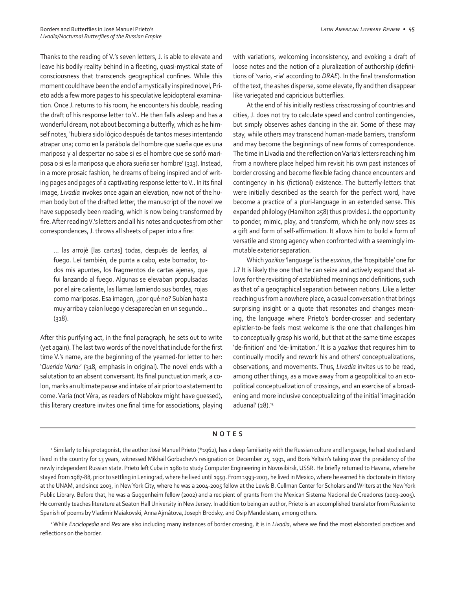Thanks to the reading of V.'s seven letters, J. is able to elevate and leave his bodily reality behind in a fleeting, quasi-mystical state of consciousness that transcends geographical confines. While this moment could have been the end of a mystically inspired novel, Prieto adds a few more pages to his speculative lepidopteral examination. Once J. returns to his room, he encounters his double, reading the draft of his response letter to V.. He then falls asleep and has a wonderful dream, not about becoming a butterfly, which as he himself notes, 'hubiera sido lógico después de tantos meses intentando atrapar una; como en la parábola del hombre que sueña que es una mariposa y al despertar no sabe si es el hombre que se soñó mariposa o si es la mariposa que ahora sueña ser hombre' (313). Instead, in a more prosaic fashion, he dreams of being inspired and of writing pages and pages of a captivating response letter to V.. In its final image, *Livadia* invokes once again an elevation, now not of the human body but of the drafted letter, the manuscript of the novel we have supposedly been reading, which is now being transformed by fire. After reading V.'s letters and all his notes and quotes from other correspondences, J. throws all sheets of paper into a fire:

… las arrojé [las cartas] todas, después de leerlas, al fuego. Leí también, de punta a cabo, este borrador, todos mis apuntes, los fragmentos de cartas ajenas, que fui lanzando al fuego. Algunas se elevaban propulsadas por el aire caliente, las llamas lamiendo sus bordes, rojas como mariposas. Esa imagen, ¿por qué no? Subían hasta muy arriba y caían luego y desaparecían en un segundo… (318).

After this purifying act, in the final paragraph, he sets out to write (yet again). The last two words of the novel that include for the first time V.'s name, are the beginning of the yearned-for letter to her: '*Querida Varia:*' (318, emphasis in original). The novel ends with a salutation to an absent conversant. Its final punctuation mark, a colon, marks an ultimate pause and intake of air prior to a statement to come. Varia (not Véra, as readers of Nabokov might have guessed), this literary creature invites one final time for associations, playing

with variations, welcoming inconsistency, and evoking a draft of loose notes and the notion of a pluralization of authorship (definitions of 'vario, -ria' according to *DRAE*). In the final transformation of the text, the ashes disperse, some elevate, fly and then disappear like variegated and capricious butterflies.

At the end of his initially restless crisscrossing of countries and cities, J. does not try to calculate speed and control contingencies, but simply observes ashes dancing in the air. Some of these may stay, while others may transcend human-made barriers, transform and may become the beginnings of new forms of correspondence. The time in Livadia and the reflection on Varia's letters reaching him from a nowhere place helped him revisit his own past instances of border crossing and become flexible facing chance encounters and contingency in his (fictional) existence. The butterfly-letters that were initially described as the search for the perfect word, have become a practice of a pluri-language in an extended sense. This expanded philology (Hamilton 258) thus provides J. the opportunity to ponder, mimic, play, and transform, which he only now sees as a gift and form of self-affirmation. It allows him to build a form of versatile and strong agency when confronted with a seemingly immutable exterior separation.

Which *yazikus* 'language' is the *euxinus*, the 'hospitable' one for J.? It is likely the one that he can seize and actively expand that allows for the revisiting of established meanings and definitions, such as that of a geographical separation between nations. Like a letter reaching us from a nowhere place, a casual conversation that brings surprising insight or a quote that resonates and changes meaning, the language where Prieto's border-crosser and sedentary epistler-to-be feels most welcome is the one that challenges him to conceptually grasp his world, but that at the same time escapes 'de-finition' and 'de-limitation.' It is a *yazikus* that requires him to continually modify and rework his and others' conceptualizations, observations, and movements. Thus, *Livadia* invites us to be read, among other things, as a move away from a geopolitical to an ecopolitical conceptualization of crossings, and an exercise of a broadening and more inclusive conceptualizing of the initial 'imaginación aduanal'  $(28).$ <sup>13</sup>

## **NOTES**

<sup>1</sup>Similarly to his protagonist, the author José Manuel Prieto (\*1962), has a deep familiarity with the Russian culture and language, he had studied and lived in the country for 13 years, witnessed Mikhail Gorbachev's resignation on December 25, 1991, and Boris Yeltsin's taking over the presidency of the newly independent Russian state. Prieto left Cuba in 1980 to study Computer Engineering in Novosibirsk, USSR. He briefly returned to Havana, where he stayed from 1987-88, prior to settling in Leningrad, where he lived until 1993. From 1993-2003, he lived in Mexico, where he earned his doctorate in History at the UNAM, and since 2003, in New York City, where he was a 2004-2005 fellow at the Lewis B. Cullman Center for Scholars and Writers at the New York Public Library. Before that, he was a Guggenheim fellow (2002) and a recipient of grants from the Mexican Sistema Nacional de Creadores (2003-2005). He currently teaches literature at Seaton Hall University in New Jersey. In addition to being an author, Prieto is an accomplished translator from Russian to Spanish of poems by Vladimir Maiakovski, Anna Ajmátova, Joseph Brodsky, and Osip Mandelstam, among others.

2 While *Enciclopedia* and *Rex* are also including many instances of border crossing, it is in *Livadia*, where we find the most elaborated practices and reflections on the border.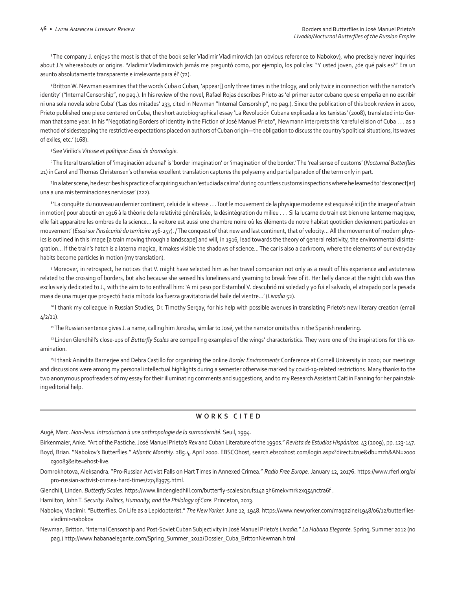<sup>3</sup> The company J. enjoys the most is that of the book seller Vladimir Vladimirovich (an obvious reference to Nabokov), who precisely never inquiries about J.'s whereabouts or origins. 'Vladimir Vladimirovich jamás me preguntó como, por ejemplo, los policías: "Y usted joven, ¿de qué país es?" Era un asunto absolutamente transparente e irrelevante para él' (72).

4 Britton W. Newman examines that the words Cuba o Cuban, 'appear[] only three times in the trilogy, and only twice in connection with the narrator's identity' ("Internal Censorship", no pag.). In his review of the novel, Rafael Rojas describes Prieto as 'el primer autor cubano que se empeña en no escribir ni una sola novela sobre Cuba' ('Las dos mitades' 233, cited in Newman "Internal Censorship", no pag.). Since the publication of this book review in 2000, Prieto published one piece centered on Cuba, the short autobiographical essay 'La Revolución Cubana explicada a los taxistas' (2008), translated into German that same year. In his "Negotiating Borders of Identity in the Fiction of José Manuel Prieto", Newmann interprets this 'careful elision of Cuba . . . as a method of sidestepping the restrictive expectations placed on authors of Cuban origin—the obligation to discuss the country's political situations, its waves of exiles, etc.' (168).

5 See Virilio's *Vitesse et politique: Essai de dromologie*.

6 The literal translation of 'imaginación aduanal' is 'border imagination' or 'imagination of the border.' The 'real sense of customs' (*Nocturnal Butterflies*  21) in Carol and Thomas Christensen's otherwise excellent translation captures the polysemy and partial paradox of the term only in part.

7In a later scene, he describes his practice of acquiring such an 'estudiada calma' during countless customs inspections where he learned to 'desconect[ar] una a una mis terminaciones nerviosas' (222).

<sup>8</sup>'La conquête du nouveau au dernier continent, celui de la vitesse . . . Tout le mouvement de la physique moderne est esquissé ici [in the image of a train in motion] pour aboutir en 1916 à la théorie de la relativité généralisée, la désintégration du milieu ... Si la lucarne du train est bien une lanterne magique, elle fait apparaitre les ombres de la science… la voiture est aussi une chambre noire où les éléments de notre habitat quotidien deviennent particules en mouvement' (*Essai sur l'insécurité du territoire* 256-257). / The conquest of that new and last continent, that of velocity… All the movement of modern physics is outlined in this image [a train moving through a landscape] and will, in 1916, lead towards the theory of general relativity, the environmental disintegration… If the train's hatch is a laterna magica, it makes visible the shadows of science… The car is also a darkroom, where the elements of our everyday habits become particles in motion (my translation).

<sup>9</sup> Moreover, in retrospect, he notices that V. might have selected him as her travel companion not only as a result of his experience and astuteness related to the crossing of borders, but also because she sensed his loneliness and yearning to break free of it. Her belly dance at the night club was thus exclusively dedicated to J., with the aim to to enthrall him: 'A mi paso por Estambul V. descubrió mi soledad y yo fui el salvado, el atrapado por la pesada masa de una mujer que proyectó hacia mí toda loa fuerza gravitatoria del baile del vientre…' (*Livadia* 52).

10 I thank my colleague in Russian Studies, Dr. Timothy Sergay, for his help with possible avenues in translating Prieto's new literary creation (email 4/2/21).

11 The Russian sentence gives J. a name, calling him Jorosha, similar to José, yet the narrator omits this in the Spanish rendering.

<sup>12</sup> Linden Glendhill's close-ups of *Butterfly Scales* are compelling examples of the wings' characteristics. They were one of the inspirations for this examination.

13 I thank Anindita Barnerjee and Debra Castillo for organizing the online *Border Environments* Conference at Cornell University in 2020; our meetings and discussions were among my personal intellectual highlights during a semester otherwise marked by covid-19-related restrictions. Many thanks to the two anonymous proofreaders of my essay for their illuminating comments and suggestions, and to my Research Assistant Caitlin Fanning for her painstaking editorial help.

## **WORKS CITED**

Augé, Marc. *Non-lieux. Introduction à une anthropologie de la surmodernité.* Seuil, 1994.

Birkenmaier, Anke. "Art of the Pastiche. José Manuel Prieto's *Rex* and Cuban Literature of the 1990s." *Revista de Estudios Hispánicos.* 43 (2009), pp. 123-147.

Boyd, Brian. "Nabokov's Butterflies." *Atlantic Monthly.* 285.4, April 2000. EBSCOhost, search.ebscohost.com/login.aspx?direct=true&db=mzh&AN=2000 030083&site=ehost-live.

Domrokhotova, Aleksandra. "Pro-Russian Activist Falls on Hart Times in Annexed Crimea." *Radio Free Europe.* January 12, 20176. https://www.rferl.org/a/ pro-russian-activist-crimea-hard-times/27483975.html.

Glendhill, Linden. *Butterfly Scales*. https://www.lindengledhill.com/butterfly-scales/0rufs14a 3h6mekvmrk2xq54nctra6f .

Hamilton, John T. Security. Politics, Humanity, and the Philology of Care. Princeton, 2013.

Nabokov, Vladimir. "Butterflies. On Life as a Lepidopterist." *The New Yorker.* June 12, 1948. https://www.newyorker.com/magazine/1948/06/12/butterfliesvladimir-nabokov

Newman, Britton. "Internal Censorship and Post-Soviet Cuban Subjectivity in José Manuel Prieto's *Livadia.*" *La Habana Elegante.* Spring, Summer 2012 (no pag.) http://www.habanaelegante.com/Spring\_Summer\_2012/Dossier\_Cuba\_BrittonNewman.h tml